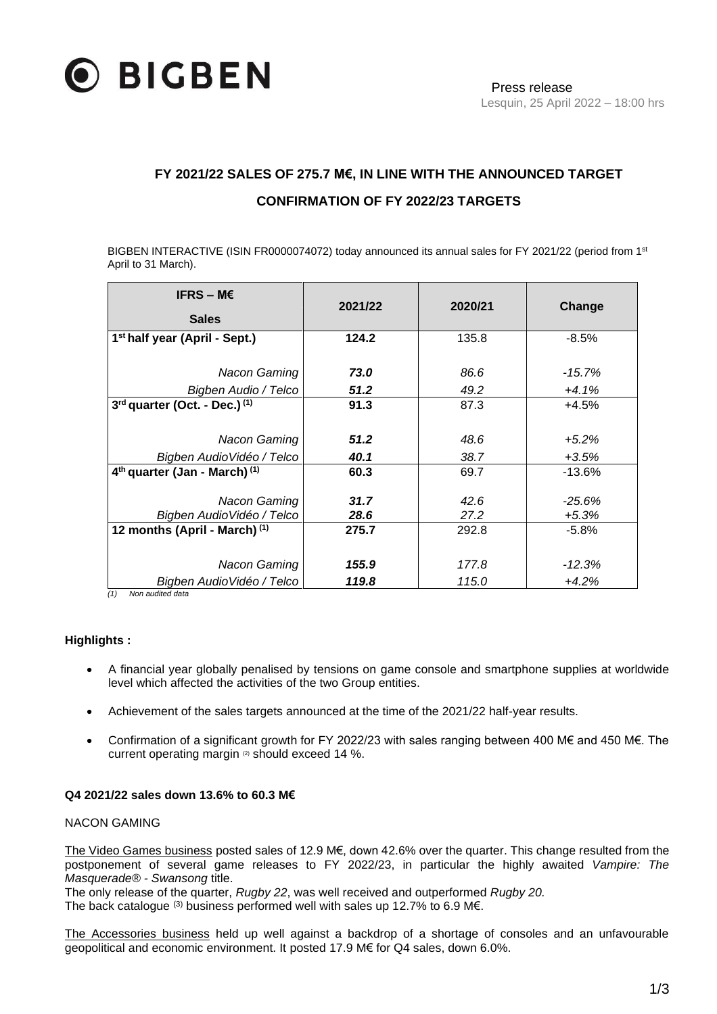

# **FY 2021/22 SALES OF 275.7 M€, IN LINE WITH THE ANNOUNCED TARGET CONFIRMATION OF FY 2022/23 TARGETS**

BIGBEN INTERACTIVE (ISIN FR0000074072) today announced its annual sales for FY 2021/22 (period from 1st April to 31 March).

| IFRS – M $\epsilon$                                  | 2021/22 |         |           |
|------------------------------------------------------|---------|---------|-----------|
| <b>Sales</b>                                         |         | 2020/21 | Change    |
| 1 <sup>st</sup> half year (April - Sept.)            | 124.2   | 135.8   | $-8.5%$   |
|                                                      |         |         |           |
| Nacon Gaming                                         | 73.0    | 86.6    | $-15.7\%$ |
| Bigben Audio / Telco                                 | 51.2    | 49.2    | $+4.1%$   |
| 3rd quarter (Oct. - Dec.) (1)                        | 91.3    | 87.3    | $+4.5%$   |
|                                                      |         |         |           |
| Nacon Gaming                                         | 51.2    | 48.6    | $+5.2%$   |
| Bigben AudioVidéo / Telco                            | 40.1    | 38.7    | $+3.5%$   |
| 4 <sup>th</sup> quarter (Jan - March) <sup>(1)</sup> | 60.3    | 69.7    | $-13.6%$  |
|                                                      |         |         |           |
| Nacon Gaming                                         | 31.7    | 42.6    | $-25.6\%$ |
| Bigben AudioVidéo / Telco                            | 28.6    | 27.2    | $+5.3%$   |
| 12 months (April - March) <sup>(1)</sup>             | 275.7   | 292.8   | $-5.8%$   |
|                                                      |         |         |           |
| Nacon Gaming                                         | 155.9   | 177.8   | $-12.3%$  |
| Bigben AudioVidéo / Telco                            | 119.8   | 115.0   | $+4.2%$   |

*(1) Non audited data*

### **Highlights :**

- A financial year globally penalised by tensions on game console and smartphone supplies at worldwide level which affected the activities of the two Group entities.
- Achievement of the sales targets announced at the time of the 2021/22 half-year results.
- Confirmation of a significant growth for FY 2022/23 with sales ranging between 400 M€ and 450 M€. The current operating margin (2) should exceed 14 %.

#### **Q4 2021/22 sales down 13.6% to 60.3 M€**

## NACON GAMING

The Video Games business posted sales of 12.9 M€, down 42.6% over the quarter. This change resulted from the postponement of several game releases to FY 2022/23, in particular the highly awaited *Vampire: The Masquerade® - Swansong* title.

The only release of the quarter, *Rugby 22*, was well received and outperformed *Rugby 20.*

The back catalogue  $(3)$  business performed well with sales up 12.7% to 6.9 M€.

The Accessories business held up well against a backdrop of a shortage of consoles and an unfavourable geopolitical and economic environment. It posted 17.9 M€ for Q4 sales, down 6.0%.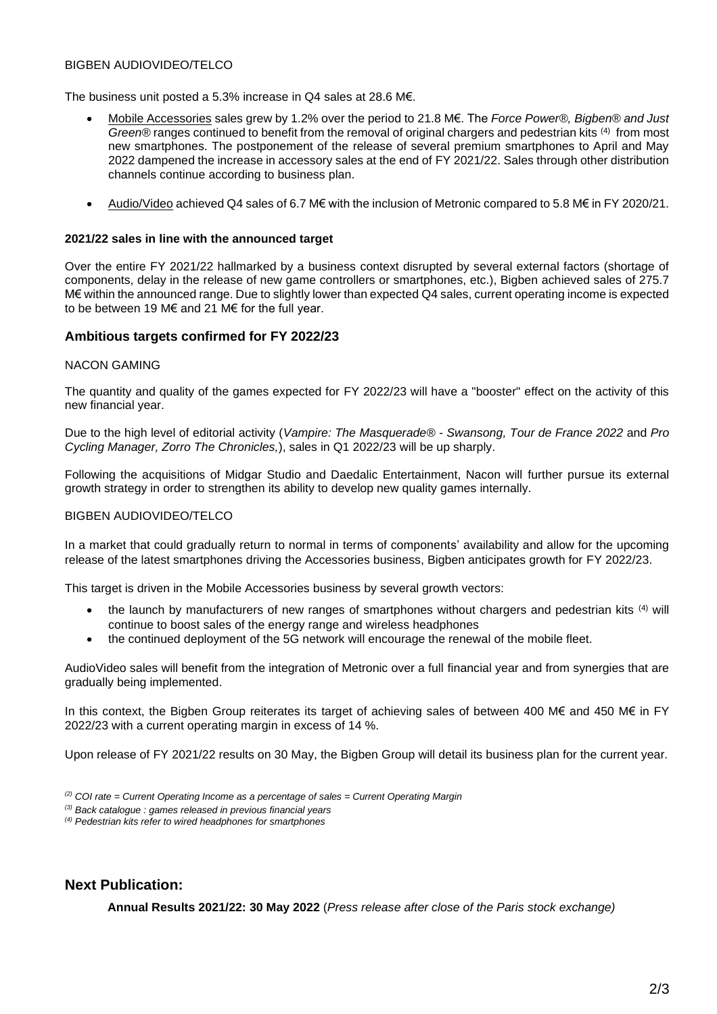#### BIGBEN AUDIOVIDEO/TELCO

The business unit posted a 5.3% increase in Q4 sales at 28.6 M€.

- Mobile Accessories sales grew by 1.2% over the period to 21.8 M€. The *Force Power®, Bigben® and Just*  Green® ranges continued to benefit from the removal of original chargers and pedestrian kits <sup>(4)</sup> from most new smartphones. The postponement of the release of several premium smartphones to April and May 2022 dampened the increase in accessory sales at the end of FY 2021/22. Sales through other distribution channels continue according to business plan.
- Audio/Video achieved Q4 sales of 6.7 M€ with the inclusion of Metronic compared to 5.8 M€ in FY 2020/21.

#### **2021/22 sales in line with the announced target**

Over the entire FY 2021/22 hallmarked by a business context disrupted by several external factors (shortage of components, delay in the release of new game controllers or smartphones, etc.), Bigben achieved sales of 275.7 M€ within the announced range. Due to slightly lower than expected Q4 sales, current operating income is expected to be between 19 M€ and 21 M€ for the full year.

#### **Ambitious targets confirmed for FY 2022/23**

#### NACON GAMING

The quantity and quality of the games expected for FY 2022/23 will have a "booster" effect on the activity of this new financial year.

Due to the high level of editorial activity (*Vampire: The Masquerade® - Swansong, Tour de France 2022* and *Pro Cycling Manager, Zorro The Chronicles,*), sales in Q1 2022/23 will be up sharply.

Following the acquisitions of Midgar Studio and Daedalic Entertainment, Nacon will further pursue its external growth strategy in order to strengthen its ability to develop new quality games internally.

#### BIGBEN AUDIOVIDEO/TELCO

In a market that could gradually return to normal in terms of components' availability and allow for the upcoming release of the latest smartphones driving the Accessories business, Bigben anticipates growth for FY 2022/23.

This target is driven in the Mobile Accessories business by several growth vectors:

- the launch by manufacturers of new ranges of smartphones without chargers and pedestrian kits (4) will continue to boost sales of the energy range and wireless headphones
- the continued deployment of the 5G network will encourage the renewal of the mobile fleet.

AudioVideo sales will benefit from the integration of Metronic over a full financial year and from synergies that are gradually being implemented.

In this context, the Bigben Group reiterates its target of achieving sales of between 400 M€ and 450 M€ in FY 2022/23 with a current operating margin in excess of 14 %.

Upon release of FY 2021/22 results on 30 May, the Bigben Group will detail its business plan for the current year.

*(2) COI rate = Current Operating Income as a percentage of sales = Current Operating Margin*

*(3) Back catalogue : games released in previous financial years*

*(4) Pedestrian kits refer to wired headphones for smartphones* 

## **Next Publication:**

**Annual Results 2021/22: 30 May 2022** (*Press release after close of the Paris stock exchange)*